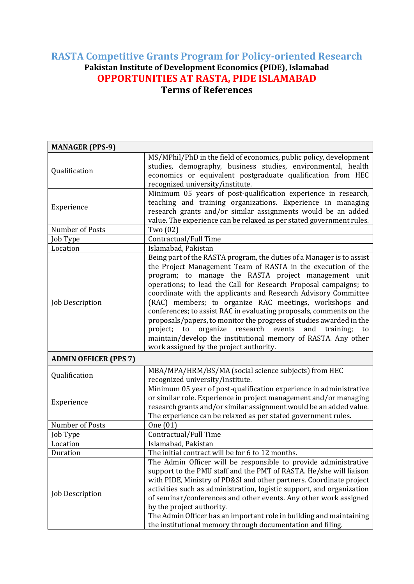## **RASTA Competitive Grants Program for Policy-oriented Research Pakistan Institute of Development Economics (PIDE), Islamabad OPPORTUNITIES AT RASTA, PIDE ISLAMABAD Terms of References**

| <b>MANAGER (PPS-9)</b>       |                                                                                                                                                                                                                                                                                                                                                                                                                                                                                                                                                                                                                                                                                                                           |
|------------------------------|---------------------------------------------------------------------------------------------------------------------------------------------------------------------------------------------------------------------------------------------------------------------------------------------------------------------------------------------------------------------------------------------------------------------------------------------------------------------------------------------------------------------------------------------------------------------------------------------------------------------------------------------------------------------------------------------------------------------------|
| Qualification                | MS/MPhil/PhD in the field of economics, public policy, development<br>studies, demography, business studies, environmental, health<br>economics or equivalent postgraduate qualification from HEC<br>recognized university/institute.                                                                                                                                                                                                                                                                                                                                                                                                                                                                                     |
| Experience                   | Minimum 05 years of post-qualification experience in research,<br>teaching and training organizations. Experience in managing<br>research grants and/or similar assignments would be an added<br>value. The experience can be relaxed as per stated government rules.                                                                                                                                                                                                                                                                                                                                                                                                                                                     |
| Number of Posts              | Two (02)                                                                                                                                                                                                                                                                                                                                                                                                                                                                                                                                                                                                                                                                                                                  |
| Job Type                     | Contractual/Full Time                                                                                                                                                                                                                                                                                                                                                                                                                                                                                                                                                                                                                                                                                                     |
| Location                     | Islamabad, Pakistan                                                                                                                                                                                                                                                                                                                                                                                                                                                                                                                                                                                                                                                                                                       |
| Job Description              | Being part of the RASTA program, the duties of a Manager is to assist<br>the Project Management Team of RASTA in the execution of the<br>program; to manage the RASTA project management unit<br>operations; to lead the Call for Research Proposal campaigns; to<br>coordinate with the applicants and Research Advisory Committee<br>(RAC) members; to organize RAC meetings, workshops and<br>conferences; to assist RAC in evaluating proposals, comments on the<br>proposals/papers, to monitor the progress of studies awarded in the<br>organize research events<br>project; to<br>and training;<br>to<br>maintain/develop the institutional memory of RASTA. Any other<br>work assigned by the project authority. |
| <b>ADMIN OFFICER (PPS 7)</b> |                                                                                                                                                                                                                                                                                                                                                                                                                                                                                                                                                                                                                                                                                                                           |
| Qualification                | MBA/MPA/HRM/BS/MA (social science subjects) from HEC<br>recognized university/institute.                                                                                                                                                                                                                                                                                                                                                                                                                                                                                                                                                                                                                                  |
| Experience                   | Minimum 05 year of post-qualification experience in administrative<br>or similar role. Experience in project management and/or managing<br>research grants and/or similar assignment would be an added value.<br>The experience can be relaxed as per stated government rules.                                                                                                                                                                                                                                                                                                                                                                                                                                            |
| Number of Posts              | One (01)                                                                                                                                                                                                                                                                                                                                                                                                                                                                                                                                                                                                                                                                                                                  |
| Job Type                     | Contractual/Full Time                                                                                                                                                                                                                                                                                                                                                                                                                                                                                                                                                                                                                                                                                                     |
| Location                     | Islamabad, Pakistan                                                                                                                                                                                                                                                                                                                                                                                                                                                                                                                                                                                                                                                                                                       |
| Duration                     | The initial contract will be for 6 to 12 months.                                                                                                                                                                                                                                                                                                                                                                                                                                                                                                                                                                                                                                                                          |
| Job Description              | The Admin Officer will be responsible to provide administrative<br>support to the PMU staff and the PMT of RASTA. He/she will liaison<br>with PIDE, Ministry of PD&SI and other partners. Coordinate project<br>activities such as administration, logistic support, and organization<br>of seminar/conferences and other events. Any other work assigned<br>by the project authority.<br>The Admin Officer has an important role in building and maintaining<br>the institutional memory through documentation and filing.                                                                                                                                                                                               |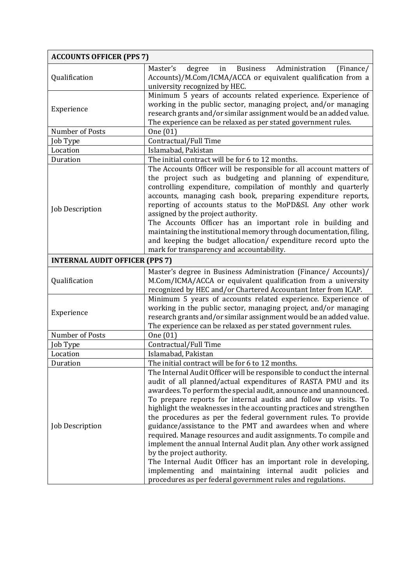| <b>ACCOUNTS OFFICER (PPS 7)</b>       |                                                                                                                                                                                                    |
|---------------------------------------|----------------------------------------------------------------------------------------------------------------------------------------------------------------------------------------------------|
| Qualification                         | degree<br><b>Business</b><br>Administration<br>Master's<br>(Finance/<br>in                                                                                                                         |
|                                       | Accounts)/M.Com/ICMA/ACCA or equivalent qualification from a                                                                                                                                       |
|                                       | university recognized by HEC.                                                                                                                                                                      |
| Experience                            | Minimum 5 years of accounts related experience. Experience of                                                                                                                                      |
|                                       | working in the public sector, managing project, and/or managing                                                                                                                                    |
|                                       | research grants and/or similar assignment would be an added value.                                                                                                                                 |
|                                       | The experience can be relaxed as per stated government rules.                                                                                                                                      |
| Number of Posts                       | One (01)                                                                                                                                                                                           |
| Job Type                              | Contractual/Full Time                                                                                                                                                                              |
| Location                              | Islamabad, Pakistan                                                                                                                                                                                |
| Duration                              | The initial contract will be for 6 to 12 months.                                                                                                                                                   |
|                                       | The Accounts Officer will be responsible for all account matters of<br>the project such as budgeting and planning of expenditure,<br>controlling expenditure, compilation of monthly and quarterly |
|                                       | accounts, managing cash book, preparing expenditure reports,<br>reporting of accounts status to the MoPD&SI. Any other work                                                                        |
| <b>Job Description</b>                | assigned by the project authority.                                                                                                                                                                 |
|                                       | The Accounts Officer has an important role in building and                                                                                                                                         |
|                                       | maintaining the institutional memory through documentation, filing,                                                                                                                                |
|                                       | and keeping the budget allocation/ expenditure record upto the                                                                                                                                     |
|                                       | mark for transparency and accountability.                                                                                                                                                          |
| <b>INTERNAL AUDIT OFFICER (PPS 7)</b> |                                                                                                                                                                                                    |
| Qualification                         | Master's degree in Business Administration (Finance/ Accounts)/                                                                                                                                    |
|                                       | M.Com/ICMA/ACCA or equivalent qualification from a university                                                                                                                                      |
|                                       | recognized by HEC and/or Chartered Accountant Inter from ICAP.                                                                                                                                     |
|                                       | Minimum 5 years of accounts related experience. Experience of                                                                                                                                      |
| Experience                            | working in the public sector, managing project, and/or managing                                                                                                                                    |
|                                       | research grants and/or similar assignment would be an added value.                                                                                                                                 |
|                                       | The experience can be relaxed as per stated government rules.                                                                                                                                      |
| Number of Posts                       | One (01)                                                                                                                                                                                           |
| Job Type                              | Contractual/Full Time                                                                                                                                                                              |
| Location                              | Islamabad, Pakistan                                                                                                                                                                                |
| Duration                              | The initial contract will be for 6 to 12 months.                                                                                                                                                   |
| Job Description                       | The Internal Audit Officer will be responsible to conduct the internal                                                                                                                             |
|                                       | audit of all planned/actual expenditures of RASTA PMU and its                                                                                                                                      |
|                                       | awardees. To perform the special audit, announce and unannounced.                                                                                                                                  |
|                                       | To prepare reports for internal audits and follow up visits. To                                                                                                                                    |
|                                       | highlight the weaknesses in the accounting practices and strengthen                                                                                                                                |
|                                       | the procedures as per the federal government rules. To provide                                                                                                                                     |
|                                       | guidance/assistance to the PMT and awardees when and where                                                                                                                                         |
|                                       | required. Manage resources and audit assignments. To compile and                                                                                                                                   |
|                                       | implement the annual Internal Audit plan. Any other work assigned                                                                                                                                  |
|                                       | by the project authority.                                                                                                                                                                          |
|                                       | The Internal Audit Officer has an important role in developing,                                                                                                                                    |
|                                       | implementing and maintaining internal audit policies<br>and                                                                                                                                        |
|                                       | procedures as per federal government rules and regulations.                                                                                                                                        |